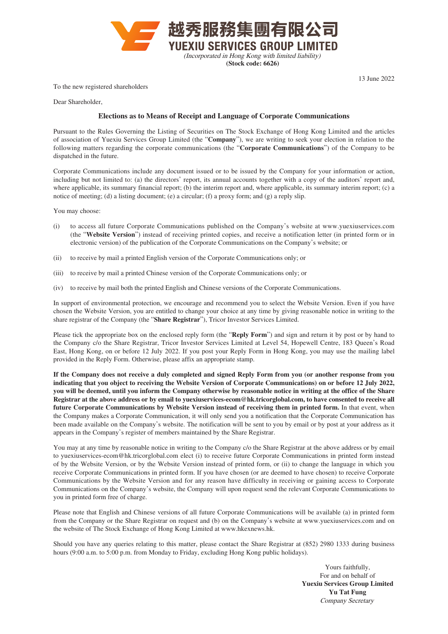

**(Stock code: 6626)**

To the new registered shareholders

13 June 2022

Dear Shareholder,

## **Elections as to Means of Receipt and Language of Corporate Communications**

Pursuant to the Rules Governing the Listing of Securities on The Stock Exchange of Hong Kong Limited and the articles of association of Yuexiu Services Group Limited (the "**Company**"), we are writing to seek your election in relation to the following matters regarding the corporate communications (the "**Corporate Communications**") of the Company to be dispatched in the future.

Corporate Communications include any document issued or to be issued by the Company for your information or action, including but not limited to: (a) the directors' report, its annual accounts together with a copy of the auditors' report and, where applicable, its summary financial report; (b) the interim report and, where applicable, its summary interim report; (c) a notice of meeting; (d) a listing document; (e) a circular; (f) a proxy form; and (g) a reply slip.

You may choose:

- (i) to access all future Corporate Communications published on the Company's website at [www.yuexiuservices.com](http://www.yuexiuservices.com) (the "**Website Version**") instead of receiving printed copies, and receive a notification letter (in printed form or in electronic version) of the publication of the Corporate Communications on the Company's website; or
- (ii) to receive by mail a printed English version of the Corporate Communications only; or
- (iii) to receive by mail a printed Chinese version of the Corporate Communications only; or
- (iv) to receive by mail both the printed English and Chinese versions of the Corporate Communications.

In support of environmental protection, we encourage and recommend you to select the Website Version. Even if you have chosen the Website Version, you are entitled to change your choice at any time by giving reasonable notice in writing to the share registrar of the Company (the "**Share Registrar**"), Tricor Investor Services Limited.

Please tick the appropriate box on the enclosed reply form (the "**Reply Form**") and sign and return it by post or by hand to the Company c/o the Share Registrar, Tricor Investor Services Limited at Level 54, Hopewell Centre, 183 Queen's Road East, Hong Kong, on or before 12 July 2022. If you post your Reply Form in Hong Kong, you may use the mailing label provided in the Reply Form. Otherwise, please affix an appropriate stamp.

**If the Company does not receive a duly completed and signed Reply Form from you (or another response from you indicating that you object to receiving the Website Version of Corporate Communications) on or before 12 July 2022, you will be deemed, until you inform the Company otherwise by reasonable notice in writing at the office of the Share Registrar at the above address or by email to [yuexiuservices-ecom@hk.tricorglobal.com](mailto:yuexiuservices-ecom%40hk.tricorglobal.com?subject=), to have consented to receive all future Corporate Communications by Website Version instead of receiving them in printed form.** In that event, when the Company makes a Corporate Communication, it will only send you a notification that the Corporate Communication has been made available on the Company's website. The notification will be sent to you by email or by post at your address as it appears in the Company's register of members maintained by the Share Registrar.

You may at any time by reasonable notice in writing to the Company c/o the Share Registrar at the above address or by email to [yuexiuservices-ecom@hk.tricorglobal.com](mailto:yuexiuservices-ecom%40hk.tricorglobal.com?subject=) elect (i) to receive future Corporate Communications in printed form instead of by the Website Version, or by the Website Version instead of printed form, or (ii) to change the language in which you receive Corporate Communications in printed form. If you have chosen (or are deemed to have chosen) to receive Corporate Communications by the Website Version and for any reason have difficulty in receiving or gaining access to Corporate Communications on the Company's website, the Company will upon request send the relevant Corporate Communications to you in printed form free of charge.

Please note that English and Chinese versions of all future Corporate Communications will be available (a) in printed form from the Company or the Share Registrar on request and (b) on the Company's website at [www.yuexiuservices.com](http://www.yuexiuservices.com) and on the website of The Stock Exchange of Hong Kong Limited at [www.hkexnews.hk](http://www.hkexnews.hk).

Should you have any queries relating to this matter, please contact the Share Registrar at (852) 2980 1333 during business hours (9:00 a.m. to 5:00 p.m. from Monday to Friday, excluding Hong Kong public holidays).

> Yours faithfully, For and on behalf of **Yuexiu Services Group Limited Yu Tat Fung** Company Secretary